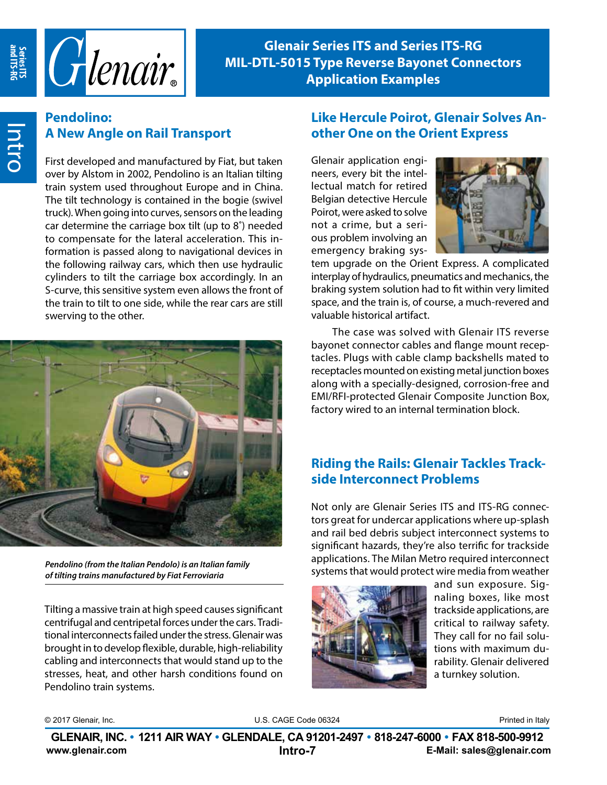

**Glenair Series ITS and Series ITS-RG MIL-DTL-5015 Type Reverse Bayonet Connectors Application Examples**

## **Pendolino: A New Angle on Rail Transport**

First developed and manufactured by Fiat, but taken over by Alstom in 2002, Pendolino is an Italian tilting train system used throughout Europe and in China. The tilt technology is contained in the bogie (swivel truck). When going into curves, sensors on the leading car determine the carriage box tilt (up to 8˚) needed to compensate for the lateral acceleration. This information is passed along to navigational devices in the following railway cars, which then use hydraulic cylinders to tilt the carriage box accordingly. In an S-curve, this sensitive system even allows the front of the train to tilt to one side, while the rear cars are still swerving to the other.



*Pendolino (from the Italian Pendolo) is an Italian family of tilting trains manufactured by Fiat Ferroviaria*

Tilting a massive train at high speed causes significant centrifugal and centripetal forces under the cars. Traditional interconnects failed under the stress. Glenair was brought in to develop flexible, durable, high-reliability cabling and interconnects that would stand up to the stresses, heat, and other harsh conditions found on Pendolino train systems.

#### **Like Hercule Poirot, Glenair Solves Another One on the Orient Express**

Glenair application engineers, every bit the intellectual match for retired Belgian detective Hercule Poirot, were asked to solve not a crime, but a serious problem involving an emergency braking sys-



tem upgrade on the Orient Express. A complicated interplay of hydraulics, pneumatics and mechanics, the braking system solution had to fit within very limited space, and the train is, of course, a much-revered and valuable historical artifact.

The case was solved with Glenair ITS reverse bayonet connector cables and flange mount receptacles. Plugs with cable clamp backshells mated to receptacles mounted on existing metal junction boxes along with a specially-designed, corrosion-free and EMI/RFI-protected Glenair Composite Junction Box, factory wired to an internal termination block.

## **Riding the Rails: Glenair Tackles Trackside Interconnect Problems**

Not only are Glenair Series ITS and ITS-RG connectors great for undercar applications where up-splash and rail bed debris subject interconnect systems to significant hazards, they're also terrific for trackside applications. The Milan Metro required interconnect systems that would protect wire media from weather



and sun exposure. Signaling boxes, like most trackside applications, are critical to railway safety. They call for no fail solutions with maximum durability. Glenair delivered a turnkey solution.

© 2017 Glenair, Inc. **Example 2018** U.S. CAGE Code 06324 **Printed in Italy** Printed in Italy

**www.glenair.com E-Mail: sales@glenair.com Intro-7 Intro-8 GLENAIR, INC. • 1211 AIR WAY • GLENDALE, CA 91201-2497 • 818-247-6000 • FAX 818-500-9912**